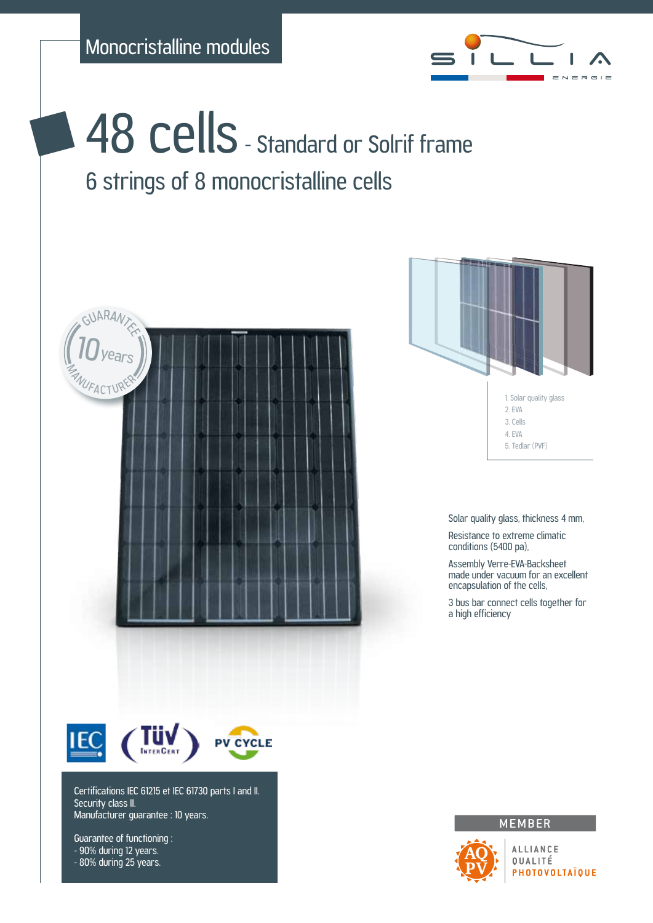

48 cells - Standard or Solrif frame 6 strings of 8 monocristalline cells





Solar quality glass, thickness 4 mm,

Resistance to extreme climatic conditions (5400 pa),

Assembly Verre-EVA-Backsheet made under vacuum for an excellent encapsulation of the cells,

3 bus bar connect cells together for a high efficiency



Certifications IEC 61215 et IEC 61730 parts I and II. Security class II. Manufacturer guarantee : 10 years.

Guarantee of functioning : - 90% during 12 years. - 80% during 25 years.